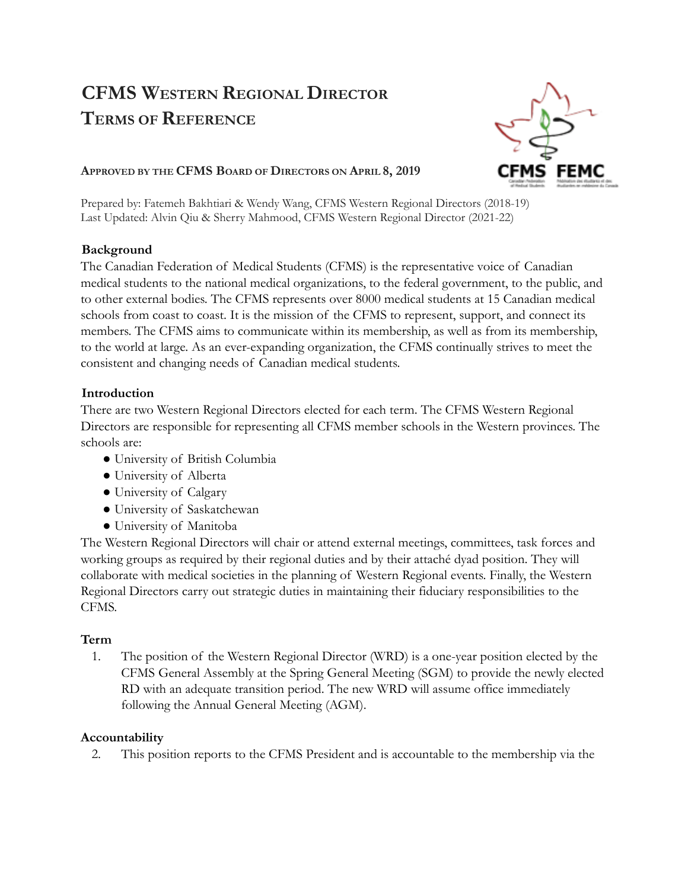# **CFMS WESTERN REGIONAL DIRECTOR TERMS OF REFERENCE**



### **APPROVED BY THE CFMS BOARD OF DIRECTORS ON APRIL 8, 2019**

Prepared by: Fatemeh Bakhtiari & Wendy Wang, CFMS Western Regional Directors (2018-19) Last Updated: Alvin Qiu & Sherry Mahmood, CFMS Western Regional Director (2021-22)

## **Background**

The Canadian Federation of Medical Students (CFMS) is the representative voice of Canadian medical students to the national medical organizations, to the federal government, to the public, and to other external bodies. The CFMS represents over 8000 medical students at 15 Canadian medical schools from coast to coast. It is the mission of the CFMS to represent, support, and connect its members. The CFMS aims to communicate within its membership, as well as from its membership, to the world at large. As an ever-expanding organization, the CFMS continually strives to meet the consistent and changing needs of Canadian medical students.

## **Introduction**

There are two Western Regional Directors elected for each term. The CFMS Western Regional Directors are responsible for representing all CFMS member schools in the Western provinces. The schools are:

- University of British Columbia
- University of Alberta
- University of Calgary
- University of Saskatchewan
- University of Manitoba

The Western Regional Directors will chair or attend external meetings, committees, task forces and working groups as required by their regional duties and by their attaché dyad position. They will collaborate with medical societies in the planning of Western Regional events. Finally, the Western Regional Directors carry out strategic duties in maintaining their fiduciary responsibilities to the CFMS.

## **Term**

1. The position of the Western Regional Director (WRD) is a one-year position elected by the CFMS General Assembly at the Spring General Meeting (SGM) to provide the newly elected RD with an adequate transition period. The new WRD will assume office immediately following the Annual General Meeting (AGM).

### **Accountability**

2. This position reports to the CFMS President and is accountable to the membership via the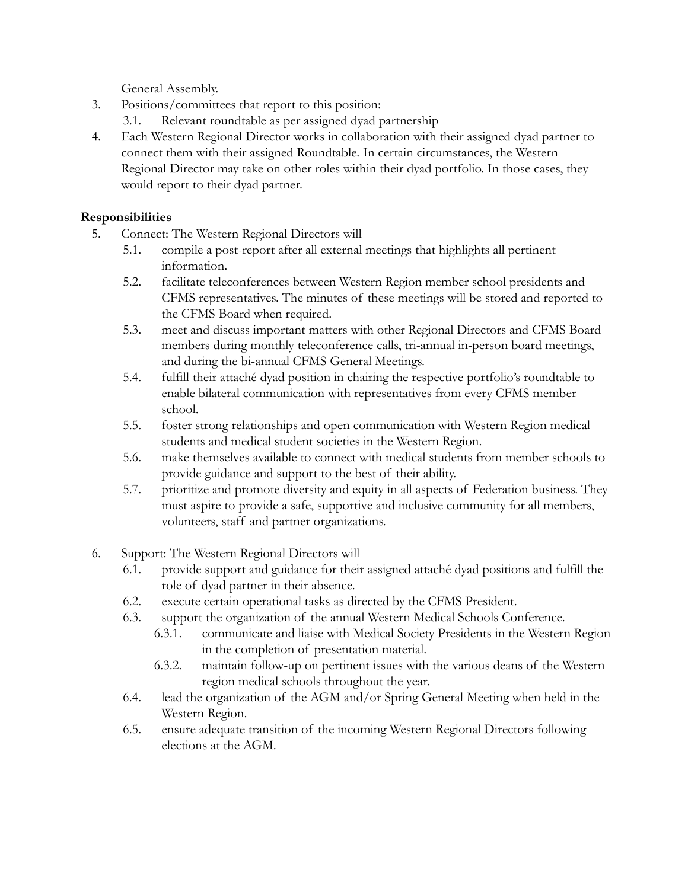General Assembly.

- 3. Positions/committees that report to this position:
	- 3.1. Relevant roundtable as per assigned dyad partnership
- 4. Each Western Regional Director works in collaboration with their assigned dyad partner to connect them with their assigned Roundtable. In certain circumstances, the Western Regional Director may take on other roles within their dyad portfolio. In those cases, they would report to their dyad partner.

#### **Responsibilities**

- 5. Connect: The Western Regional Directors will
	- 5.1. compile a post-report after all external meetings that highlights all pertinent information.
	- 5.2. facilitate teleconferences between Western Region member school presidents and CFMS representatives. The minutes of these meetings will be stored and reported to the CFMS Board when required.
	- 5.3. meet and discuss important matters with other Regional Directors and CFMS Board members during monthly teleconference calls, tri-annual in-person board meetings, and during the bi-annual CFMS General Meetings.
	- 5.4. fulfill their attaché dyad position in chairing the respective portfolio's roundtable to enable bilateral communication with representatives from every CFMS member school.
	- 5.5. foster strong relationships and open communication with Western Region medical students and medical student societies in the Western Region.
	- 5.6. make themselves available to connect with medical students from member schools to provide guidance and support to the best of their ability.
	- 5.7. prioritize and promote diversity and equity in all aspects of Federation business. They must aspire to provide a safe, supportive and inclusive community for all members, volunteers, staff and partner organizations.
- 6. Support: The Western Regional Directors will
	- 6.1. provide support and guidance for their assigned attaché dyad positions and fulfill the role of dyad partner in their absence.
	- 6.2. execute certain operational tasks as directed by the CFMS President.
	- 6.3. support the organization of the annual Western Medical Schools Conference.
		- 6.3.1. communicate and liaise with Medical Society Presidents in the Western Region in the completion of presentation material.
		- 6.3.2. maintain follow-up on pertinent issues with the various deans of the Western region medical schools throughout the year.
	- 6.4. lead the organization of the AGM and/or Spring General Meeting when held in the Western Region.
	- 6.5. ensure adequate transition of the incoming Western Regional Directors following elections at the AGM.